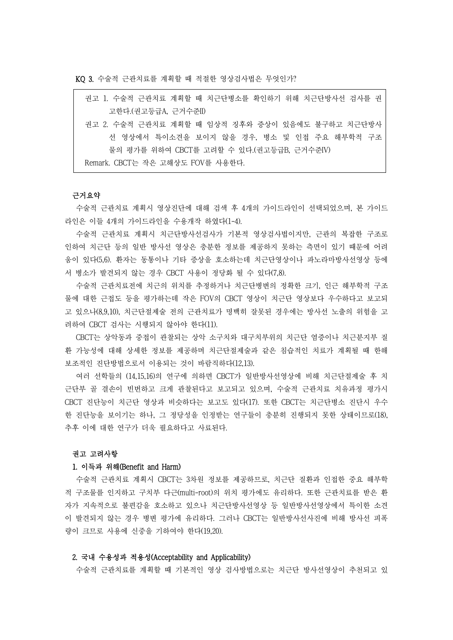KQ 3. 수술적 근관치료를 계획할 때 적절한 영상검사법은 무엇인가?

| 권고 1. 수술적 근관치료 계획할 때 치근단병소를 확인하기 위해 치근단방사선 검사를 권 |
|--------------------------------------------------|
| 고한다.(권고등급A, 근거수준II)                              |
| 권고 2. 수술적 근관치료 계획할 때 임상적 징후와 증상이 있음에도 불구하고 치근단방사 |
| 선 영상에서 특이소견을 보이지 않을 경우, 병소 및 인접 주요 해부학적 구조       |
| 물의 평가를 위하여 CBCT를 고려할 수 있다. (권고등급B, 근거수주IV)       |
| Remark. CBCT는 작은 고해상도 FOV를 사용한다.                 |

### 근거요약

수술적 근관치료 계획시 영상진단에 대해 검색 후 4개의 가이드라인이 선택되었으며, 본 가이드 라인은 이들 4개의 가이드라인을 수용개작 하였다(1-4).

수술적 근관치료 계획시 치근단방사선검사가 기본적 영상검사법이지만, 근관의 복잡한 구조로 인하여 치근단 등의 일반 방사선 영상은 충분한 정보를 제공하지 못하는 측면이 있기 때문에 어려 움이 있다(5,6). 환자는 동통이나 기타 증상을 호소하는데 치근단영상이나 파노라마방사선영상 등에 서 병소가 발견되지 않는 경우 CBCT 사용이 정당화 될 수 있다(7,8).

수술적 근관치료전에 치근의 위치를 추정하거나 치근단병변의 정확한 크기, 인근 해부학적 구조 물에 대한 근접도 등을 평가하는데 작은 FOV의 CBCT 영상이 치근단 영상보다 우수하다고 보고되 고 있으나(8,9,10), 치근단절제술 전의 근관치료가 명백히 잘못된 경우에는 방사선 노출의 위험을 고 려하여 CBCT 검사는 시행되지 않아야 한다(11).

CBCT는 상악동과 중접이 관찰되는 상악 소구치와 대구치부위의 치근단 염증이나 치근분지부 질 환 가능성에 대해 상세한 정보를 제공하며 치근단절제술과 같은 침습적인 치료가 계획될 때 한해 보조적인 진단방법으로서 이용되는 것이 바람직하다(12,13).

여러 선학들의 (14,15,16)의 연구에 의하면 CBCT가 일반방사선영상에 비해 치근단절제술 후 치 근단부 골 결손이 빈번하고 크게 관찰된다고 보고되고 있으며, 수술적 근관치료 치유과정 평가시 CBCT 진단능이 치근단 영상과 비슷하다는 보고도 있다(17). 또한 CBCT는 치근단병소 진단시 우수 한 진단능을 보이기는 하나, 그 정당성을 인정받는 연구들이 충분히 진행되지 못한 상태이므로(18), 추후 이에 대한 연구가 더욱 필요하다고 사료된다.<br><br>**권고 고려사항** 

# 1. 이득과 위해(Benefit and Harm)

수술적 근관치료 계획시 CBCT는 3차원 정보를 제공하므로, 치근단 질환과 인접한 중요 해부학 적 구조물를 인지하고 구치부 다근(multi-root)의 위치 평가에도 유리하다. 또한 근관치료를 받은 환 자가 지속적으로 불편감을 호소하고 있으나 치근단방사선영상 등 일반방사선영상에서 특이한 소견 이 발견되지 않는 경우 병변 평가에 유리하다. 그러나 CBCT는 일반방사선사진에 비해 방사선 피폭 량이 크므로 사용에 신중을 기하여야 한다(19,20).

#### 2. 국내 수용성과 적용성(Acceptability and Applicability)

수술적 근관치료를 계획할 때 기본적인 영상 검사방법으로는 치근단 방사선영상이 추천되고 있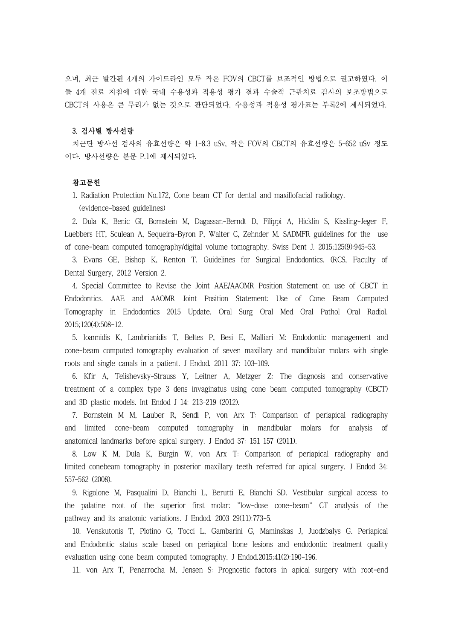으며, 최근 발간된 4개의 가이드라인 모두 작은 FOV의 CBCT를 보조적인 방법으로 권고하였다. 이 들 4개 진료 지침에 대한 국내 수용성과 적용성 평가 결과 수술적 근관치료 검사의 보조방법으로 CBCT의 사용은 큰 무리가 없는 것으로 판단되었다. 수용성과 적용성 평가표는 부록2에 제시되었다.

# 3. 검사별 방사선량

치근단 방사선 검사의 유효선량은 약 1-8.3 uSv, 작은 FOV의 CBCT의 유효선량은 5-652 uSv 정도 이다. 방사선량은 본문 P.1에 제시되었다.

# 참고문헌

1. Radiation Protection No.172, Cone beam CT for dental and maxillofacial radiology. (evidence-based guidelines)

2. Dula K, Benic GI, Bornstein M, Dagassan-Berndt D, Filippi A, Hicklin S, Kissling-Jeger F, Luebbers HT, Sculean A, Sequeira-Byron P, Walter C, Zehnder M. SADMFR guidelines for the use of cone-beam computed tomography/digital volume tomography. Swiss Dent J. 2015;125(9):945-53.

3. Evans GE, Bishop K, Renton T. Guidelines for Surgical Endodontics. (RCS, Faculty of Dental Surgery, 2012 Version 2.

4. Special Committee to Revise the Joint AAE/AAOMR Position Statement on use of CBCT in Endodontics. AAE and AAOMR Joint Position Statement: Use of Cone Beam Computed Tomography in Endodontics 2015 Update. Oral Surg Oral Med Oral Pathol Oral Radiol. 2015;120(4):508-12.

5. Ioannidis K, Lambrianidis T, Beltes P, Besi E, Malliari M: Endodontic management and cone-beam computed tomography evaluation of seven maxillary and mandibular molars with single roots and single canals in a patient. J Endod. 2011 37: 103–109.

6. Kfir A, Telishevsky-Strauss Y, Leitner A, Metzger Z: The diagnosis and conservative treatment of a complex type 3 dens invaginatus using cone beam computed tomography (CBCT) and 3D plastic models. Int Endod J 14: 213–219 (2012).

7. Bornstein M M, Lauber R, Sendi P, von Arx T: Comparison of periapical radiography and limited cone-beam computed tomography in mandibular molars for analysis of anatomical landmarks before apical surgery. J Endod 37: 151–157 (2011).

8. Low K M, Dula K, Burgin W, von Arx T: Comparison of periapical radiography and limited conebeam tomography in posterior maxillary teeth referred for apical surgery. J Endod 34: 557–562 (2008).

9. Rigolone M, Pasqualini D, Bianchi L, Berutti E, Bianchi SD. Vestibular surgical access to the palatine root of the superior first molar: "low-dose cone-beam" CT analysis of the pathway and its anatomic variations. J Endod. 2003 29(11):773-5.

10. Venskutonis T, Plotino G, Tocci L, Gambarini G, Maminskas J, Juodzbalys G. Periapical and Endodontic status scale based on periapical bone lesions and endodontic treatment quality evaluation using cone beam computed tomography. J Endod.2015;41(2):190-196.

11. von Arx T, Penarrocha M, Jensen S: Prognostic factors in apical surgery with root-end